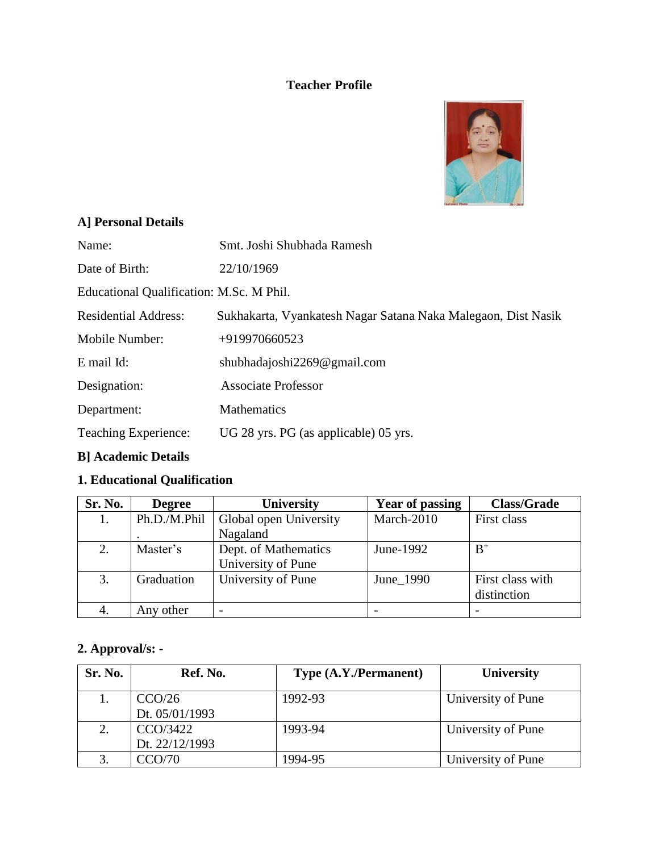#### **Teacher Profile**



#### **A] Personal Details**

| Name: |  | Smt. Joshi Shubhada Ramesh |
|-------|--|----------------------------|
|-------|--|----------------------------|

Date of Birth: 22/10/1969

Educational Qualification: M.Sc. M Phil.

Residential Address: Sukhakarta, Vyankatesh Nagar Satana Naka Malegaon, Dist Nasik

Mobile Number: +919970660523

E mail Id: shubhadajoshi2269@gmail.com

Designation: Associate Professor

Department: Mathematics

Teaching Experience: UG 28 yrs. PG (as applicable) 05 yrs.

#### **B] Academic Details**

### **1. Educational Qualification**

| Sr. No. | <b>Degree</b> | <b>University</b>                          | <b>Year of passing</b> | <b>Class/Grade</b>              |
|---------|---------------|--------------------------------------------|------------------------|---------------------------------|
|         | Ph.D./M.Phil  | Global open University                     | March-2010             | First class                     |
|         |               | Nagaland                                   |                        |                                 |
| 2.      | Master's      | Dept. of Mathematics<br>University of Pune | June-1992              | $B^+$                           |
| 3.      | Graduation    | University of Pune                         | June_1990              | First class with<br>distinction |
| 4.      | Any other     |                                            |                        |                                 |

#### **2. Approval/s: -**

| Sr. No. | Ref. No.       | Type (A.Y./Permanent) | <b>University</b>  |
|---------|----------------|-----------------------|--------------------|
|         | CCO/26         | 1992-93               | University of Pune |
|         | Dt. 05/01/1993 |                       |                    |
| 2.      | CCO/3422       | 1993-94               | University of Pune |
|         | Dt. 22/12/1993 |                       |                    |
|         | CCO/70         | 1994-95               | University of Pune |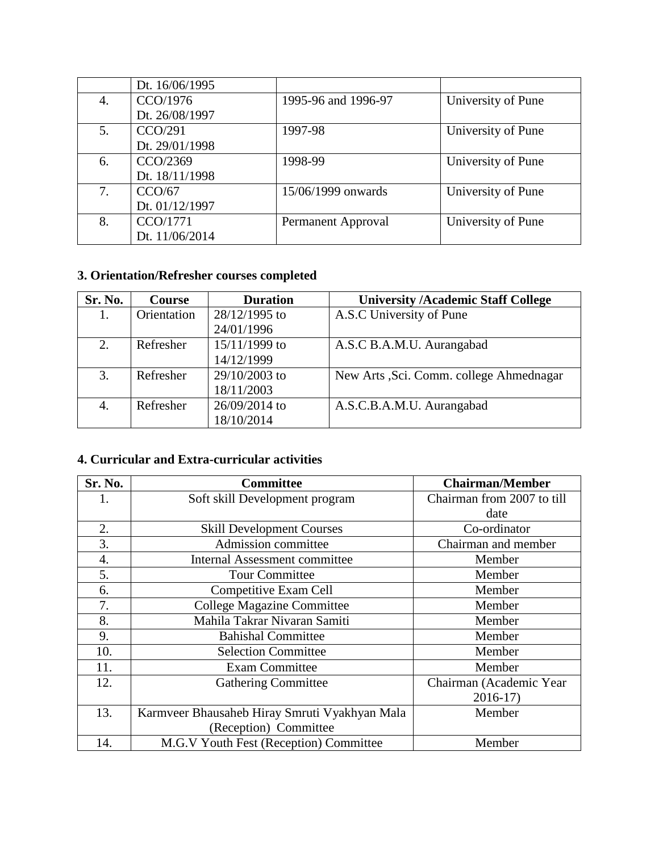|    | Dt. 16/06/1995 |                     |                    |
|----|----------------|---------------------|--------------------|
| 4. | CCO/1976       | 1995-96 and 1996-97 | University of Pune |
|    | Dt. 26/08/1997 |                     |                    |
| 5. | CCO/291        | 1997-98             | University of Pune |
|    | Dt. 29/01/1998 |                     |                    |
| 6. | CCO/2369       | 1998-99             | University of Pune |
|    | Dt. 18/11/1998 |                     |                    |
| 7. | CCO/67         | 15/06/1999 onwards  | University of Pune |
|    | Dt. 01/12/1997 |                     |                    |
| 8. | CCO/1771       | Permanent Approval  | University of Pune |
|    | Dt. 11/06/2014 |                     |                    |

# **3. Orientation/Refresher courses completed**

| Sr. No. | <b>Course</b> | <b>Duration</b> | <b>University /Academic Staff College</b> |  |
|---------|---------------|-----------------|-------------------------------------------|--|
|         | Orientation   | 28/12/1995 to   | A.S.C University of Pune                  |  |
|         |               | 24/01/1996      |                                           |  |
| 2.      | Refresher     | $15/11/1999$ to | A.S.C B.A.M.U. Aurangabad                 |  |
|         |               | 14/12/1999      |                                           |  |
| 3.      | Refresher     | 29/10/2003 to   | New Arts , Sci. Comm. college Ahmednagar  |  |
|         |               | 18/11/2003      |                                           |  |
| 4.      | Refresher     | 26/09/2014 to   | A.S.C.B.A.M.U. Aurangabad                 |  |
|         |               | 18/10/2014      |                                           |  |

## **4. Curricular and Extra-curricular activities**

| Sr. No. | <b>Committee</b>                              | <b>Chairman/Member</b>     |
|---------|-----------------------------------------------|----------------------------|
|         | Soft skill Development program                | Chairman from 2007 to till |
|         |                                               | date                       |
| 2.      | <b>Skill Development Courses</b>              | Co-ordinator               |
| 3.      | Admission committee                           | Chairman and member        |
| 4.      | Internal Assessment committee                 | Member                     |
| 5.      | <b>Tour Committee</b>                         | Member                     |
| 6.      | Competitive Exam Cell                         | Member                     |
| 7.      | <b>College Magazine Committee</b>             | Member                     |
| 8.      | Mahila Takrar Nivaran Samiti                  | Member                     |
| 9.      | <b>Bahishal Committee</b>                     | Member                     |
| 10.     | <b>Selection Committee</b>                    | Member                     |
| 11.     | <b>Exam Committee</b>                         | Member                     |
| 12.     | <b>Gathering Committee</b>                    | Chairman (Academic Year    |
|         |                                               | $2016-17$                  |
| 13.     | Karmveer Bhausaheb Hiray Smruti Vyakhyan Mala | Member                     |
|         | (Reception) Committee                         |                            |
| 14.     | M.G.V Youth Fest (Reception) Committee        | Member                     |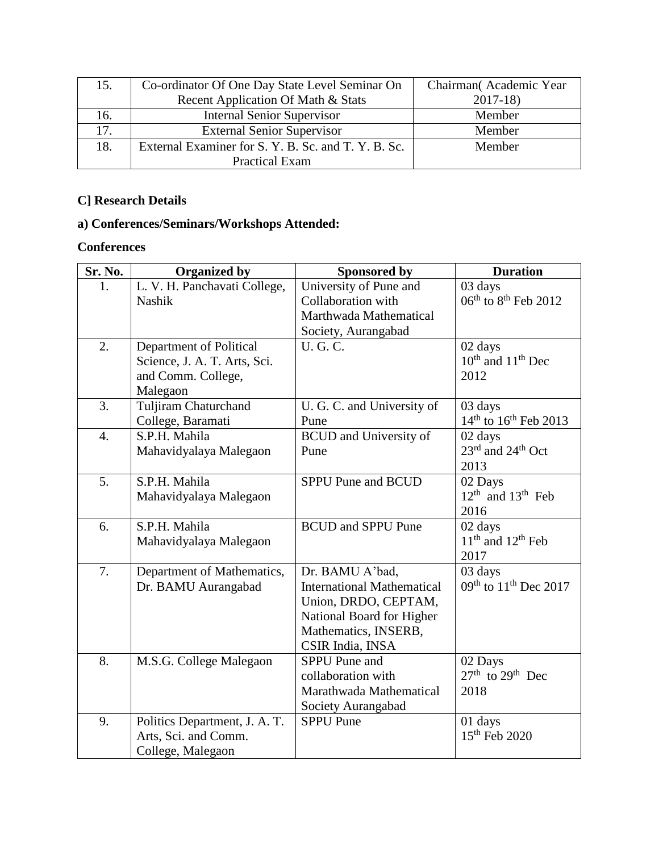| 15. | Co-ordinator Of One Day State Level Seminar On      | Chairman (Academic Year |
|-----|-----------------------------------------------------|-------------------------|
|     | Recent Application Of Math & Stats                  | $2017-18$               |
| 16. | <b>Internal Senior Supervisor</b>                   | Member                  |
| 17. | <b>External Senior Supervisor</b>                   | Member                  |
| 18. | External Examiner for S. Y. B. Sc. and T. Y. B. Sc. | Member                  |
|     | <b>Practical Exam</b>                               |                         |

## **C] Research Details**

## **a) Conferences/Seminars/Workshops Attended:**

## **Conferences**

| Sr. No. | <b>Organized by</b>           | <b>Sponsored by</b>                      | <b>Duration</b>                               |
|---------|-------------------------------|------------------------------------------|-----------------------------------------------|
| 1.      | L. V. H. Panchavati College,  | University of Pune and                   | 03 days                                       |
|         | <b>Nashik</b>                 | Collaboration with                       | $06^{\text{th}}$ to $8^{\text{th}}$ Feb 2012  |
|         |                               | Marthwada Mathematical                   |                                               |
|         |                               | Society, Aurangabad                      |                                               |
| 2.      | Department of Political       | <b>U.G.C.</b>                            | 02 days                                       |
|         | Science, J. A. T. Arts, Sci.  |                                          | $10th$ and $11th$ Dec                         |
|         | and Comm. College,            |                                          | 2012                                          |
|         | Malegaon                      |                                          |                                               |
| 3.      | Tuljiram Chaturchand          | U. G. C. and University of               | 03 days                                       |
|         | College, Baramati             | Pune                                     | $14^{th}$ to $16^{th}$ Feb 2013               |
| 4.      | S.P.H. Mahila                 | <b>BCUD</b> and University of            | 02 days                                       |
|         | Mahavidyalaya Malegaon        | Pune                                     | 23rd and 24 <sup>th</sup> Oct                 |
|         |                               |                                          | 2013                                          |
| 5.      | S.P.H. Mahila                 | <b>SPPU Pune and BCUD</b>                | 02 Days                                       |
|         | Mahavidyalaya Malegaon        |                                          | $12th$ and $13th$ Feb                         |
|         |                               |                                          | 2016                                          |
| 6.      | S.P.H. Mahila                 | <b>BCUD</b> and <b>SPPU</b> Pune         | 02 days                                       |
|         | Mahavidyalaya Malegaon        |                                          | $11th$ and $12th$ Feb                         |
|         |                               |                                          | 2017                                          |
| 7.      | Department of Mathematics,    | Dr. BAMU A'bad,                          | 03 days                                       |
|         | Dr. BAMU Aurangabad           | <b>International Mathematical</b>        | 09 <sup>th</sup> to 11 <sup>th</sup> Dec 2017 |
|         |                               | Union, DRDO, CEPTAM,                     |                                               |
|         |                               | National Board for Higher                |                                               |
|         |                               | Mathematics, INSERB,<br>CSIR India, INSA |                                               |
| 8.      | M.S.G. College Malegaon       | <b>SPPU</b> Pune and                     | 02 Days                                       |
|         |                               | collaboration with                       | $27th$ to $29th$ Dec                          |
|         |                               | Marathwada Mathematical                  | 2018                                          |
|         |                               | Society Aurangabad                       |                                               |
| 9.      | Politics Department, J. A. T. | <b>SPPU Pune</b>                         | 01 days                                       |
|         | Arts, Sci. and Comm.          |                                          | 15 <sup>th</sup> Feb 2020                     |
|         | College, Malegaon             |                                          |                                               |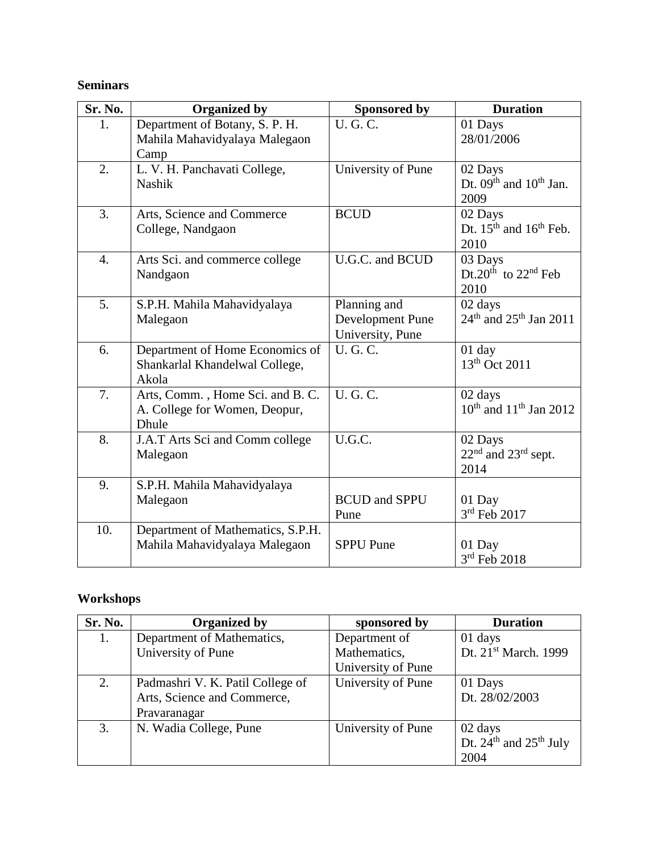### **Seminars**

| Sr. No. | <b>Organized by</b>                                                        | Sponsored by                                         | <b>Duration</b>                                      |
|---------|----------------------------------------------------------------------------|------------------------------------------------------|------------------------------------------------------|
| 1.      | Department of Botany, S. P. H.<br>Mahila Mahavidyalaya Malegaon<br>Camp    | <b>U.G.C.</b>                                        | 01 Days<br>28/01/2006                                |
| 2.      | L. V. H. Panchavati College,<br><b>Nashik</b>                              | University of Pune                                   | 02 Days<br>Dt. $09th$ and $10th$ Jan.<br>2009        |
| 3.      | Arts, Science and Commerce<br>College, Nandgaon                            | <b>BCUD</b>                                          | 02 Days<br>Dt. $15th$ and $16th$ Feb.<br>2010        |
| 4.      | Arts Sci. and commerce college<br>Nandgaon                                 | U.G.C. and BCUD                                      | 03 Days<br>Dt.20 <sup>th</sup> to $22nd$ Feb<br>2010 |
| 5.      | S.P.H. Mahila Mahavidyalaya<br>Malegaon                                    | Planning and<br>Development Pune<br>University, Pune | 02 days<br>$24th$ and $25th$ Jan $2011$              |
| 6.      | Department of Home Economics of<br>Shankarlal Khandelwal College,<br>Akola | <b>U.G.C.</b>                                        | $01$ day<br>13 <sup>th</sup> Oct 2011                |
| 7.      | Arts, Comm., Home Sci. and B. C.<br>A. College for Women, Deopur,<br>Dhule | <b>U.G.C.</b>                                        | 02 days<br>$10^{th}$ and $11^{th}$ Jan 2012          |
| 8.      | J.A.T Arts Sci and Comm college<br>Malegaon                                | U.G.C.                                               | 02 Days<br>$22nd$ and $23rd$ sept.<br>2014           |
| 9.      | S.P.H. Mahila Mahavidyalaya<br>Malegaon                                    | <b>BCUD</b> and <b>SPPU</b><br>Pune                  | 01 Day<br>$3rd$ Feb 2017                             |
| 10.     | Department of Mathematics, S.P.H.<br>Mahila Mahavidyalaya Malegaon         | <b>SPPU</b> Pune                                     | 01 Day<br>$3rd$ Feb 2018                             |

## **Workshops**

| Sr. No. | <b>Organized by</b>              | sponsored by       | <b>Duration</b>            |
|---------|----------------------------------|--------------------|----------------------------|
|         | Department of Mathematics,       | Department of      | 01 days                    |
|         | University of Pune               | Mathematics,       | Dt. 21st March. 1999       |
|         |                                  | University of Pune |                            |
| 2.      | Padmashri V. K. Patil College of | University of Pune | 01 Days                    |
|         | Arts, Science and Commerce,      |                    | Dt. 28/02/2003             |
|         | Pravaranagar                     |                    |                            |
| 3.      | N. Wadia College, Pune           | University of Pune | 02 days                    |
|         |                                  |                    | Dt. $24th$ and $25th$ July |
|         |                                  |                    | 2004                       |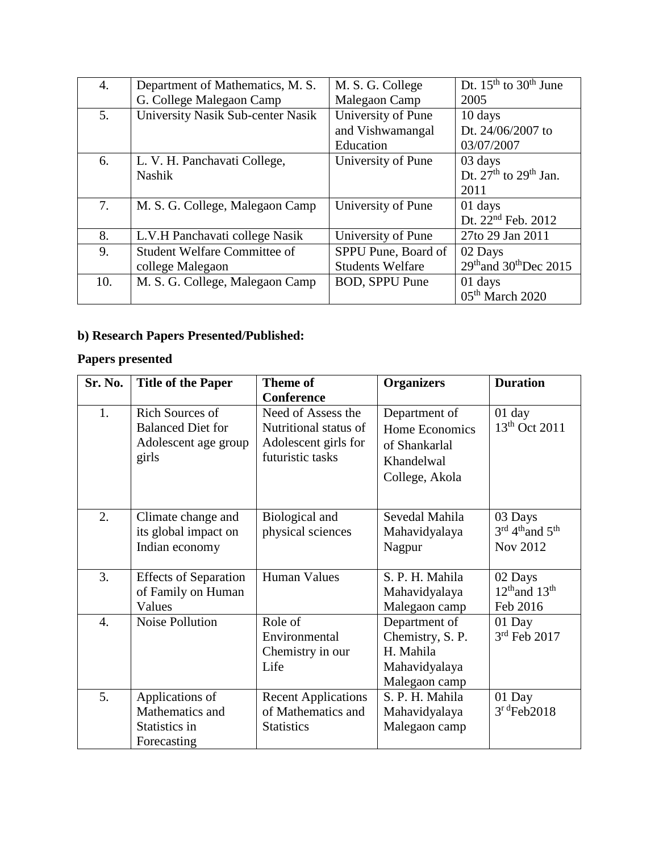| 4.  | Department of Mathematics, M. S.    | M. S. G. College        | Dt. $15th$ to $30th$ June                      |
|-----|-------------------------------------|-------------------------|------------------------------------------------|
|     | G. College Malegaon Camp            | Malegaon Camp           | 2005                                           |
| 5.  | University Nasik Sub-center Nasik   | University of Pune      | 10 days                                        |
|     |                                     | and Vishwamangal        | Dt. 24/06/2007 to                              |
|     |                                     | Education               | 03/07/2007                                     |
| 6.  | L. V. H. Panchavati College,        | University of Pune      | 03 days                                        |
|     | <b>Nashik</b>                       |                         | Dt. $27th$ to $29th$ Jan.                      |
|     |                                     |                         | 2011                                           |
| 7.  | M. S. G. College, Malegaon Camp     | University of Pune      | 01 days                                        |
|     |                                     |                         | Dt. 22 <sup>nd</sup> Feb. 2012                 |
| 8.  | L.V.H Panchavati college Nasik      | University of Pune      | 27to 29 Jan 2011                               |
| 9.  | <b>Student Welfare Committee of</b> | SPPU Pune, Board of     | 02 Days                                        |
|     | college Malegaon                    | <b>Students Welfare</b> | 29 <sup>th</sup> and 30 <sup>th</sup> Dec 2015 |
| 10. | M. S. G. College, Malegaon Camp     | <b>BOD, SPPU Pune</b>   | 01 days                                        |
|     |                                     |                         | 05 <sup>th</sup> March 2020                    |

## **b) Research Papers Presented/Published:**

## **Papers presented**

| Sr. No.          | <b>Title of the Paper</b>    | <b>Theme of</b>            | <b>Organizers</b> | <b>Duration</b>                         |
|------------------|------------------------------|----------------------------|-------------------|-----------------------------------------|
|                  |                              | <b>Conference</b>          |                   |                                         |
| 1.               | <b>Rich Sources of</b>       | Need of Assess the         | Department of     | $01$ day                                |
|                  | <b>Balanced Diet for</b>     | Nutritional status of      | Home Economics    | 13 <sup>th</sup> Oct 2011               |
|                  | Adolescent age group         | Adolescent girls for       | of Shankarlal     |                                         |
|                  | girls                        | futuristic tasks           | Khandelwal        |                                         |
|                  |                              |                            | College, Akola    |                                         |
|                  |                              |                            |                   |                                         |
| 2.               | Climate change and           | Biological and             | Sevedal Mahila    | 03 Days                                 |
|                  | its global impact on         | physical sciences          | Mahavidyalaya     | 3rd 4 <sup>th</sup> and 5 <sup>th</sup> |
|                  | Indian economy               |                            | Nagpur            | Nov 2012                                |
|                  |                              |                            |                   |                                         |
| 3.               | <b>Effects of Separation</b> | Human Values               | S. P. H. Mahila   | 02 Days                                 |
|                  | of Family on Human           |                            | Mahavidyalaya     | $12th$ and $13th$                       |
|                  | Values                       |                            | Malegaon camp     | Feb 2016                                |
| $\overline{4}$ . | Noise Pollution              | Role of                    | Department of     | 01 Day                                  |
|                  |                              | Environmental              | Chemistry, S. P.  | $3rd$ Feb 2017                          |
|                  |                              | Chemistry in our           | H. Mahila         |                                         |
|                  |                              | Life                       | Mahavidyalaya     |                                         |
|                  |                              |                            | Malegaon camp     |                                         |
| 5.               | Applications of              | <b>Recent Applications</b> | S. P. H. Mahila   | 01 Day                                  |
|                  | Mathematics and              | of Mathematics and         | Mahavidyalaya     | $3r d$ Feb2018                          |
|                  | Statistics in                | <b>Statistics</b>          | Malegaon camp     |                                         |
|                  | Forecasting                  |                            |                   |                                         |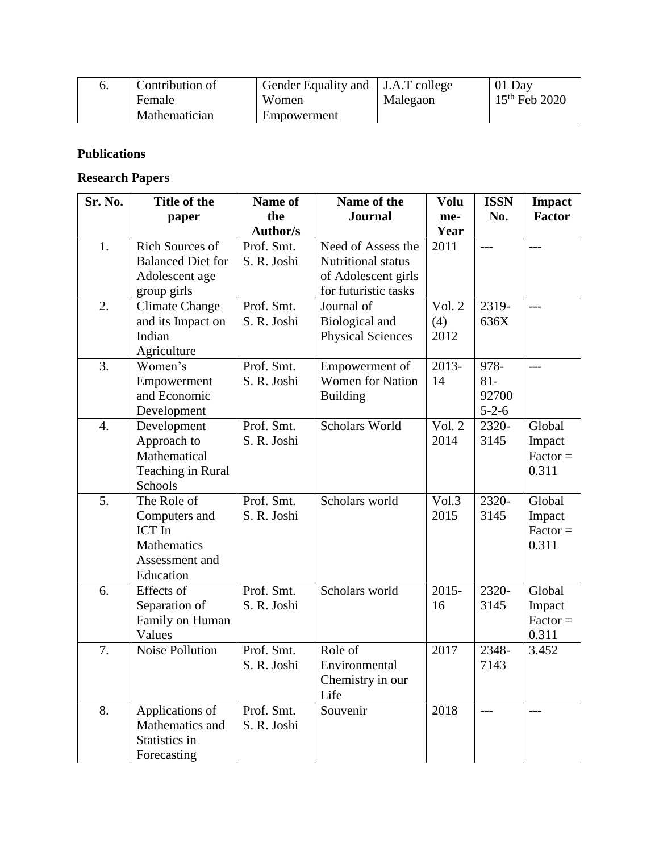|        | Contribution of | Gender Equality and J.A.T college |          | $01$ Day        |
|--------|-----------------|-----------------------------------|----------|-----------------|
| Female |                 | Women                             | Malegaon | $15th$ Feb 2020 |
|        | Mathematician   | Empowerment                       |          |                 |

### **Publications**

### **Research Papers**

| Sr. No. | Title of the                                                                         | Name of                   | Name of the                                                                             | <b>Volu</b>                       | <b>ISSN</b>                            | <b>Impact</b>                           |
|---------|--------------------------------------------------------------------------------------|---------------------------|-----------------------------------------------------------------------------------------|-----------------------------------|----------------------------------------|-----------------------------------------|
|         | paper                                                                                | the                       | <b>Journal</b>                                                                          | me-                               | No.                                    | <b>Factor</b>                           |
|         |                                                                                      | Author/s                  |                                                                                         | Year                              |                                        |                                         |
| 1.      | Rich Sources of<br><b>Balanced Diet for</b><br>Adolescent age<br>group girls         | Prof. Smt.<br>S. R. Joshi | Need of Assess the<br>Nutritional status<br>of Adolescent girls<br>for futuristic tasks | 2011                              | $---$                                  | $---$                                   |
| 2.      | <b>Climate Change</b><br>and its Impact on<br>Indian<br>Agriculture                  | Prof. Smt.<br>S. R. Joshi | Journal of<br>Biological and<br><b>Physical Sciences</b>                                | Vol. 2<br>(4)<br>2012             | 2319-<br>636X                          | ---                                     |
| 3.      | Women's<br>Empowerment<br>and Economic<br>Development                                | Prof. Smt.<br>S. R. Joshi | Empowerment of<br><b>Women for Nation</b><br><b>Building</b>                            | 2013-<br>14                       | 978-<br>$81 -$<br>92700<br>$5 - 2 - 6$ | $---$                                   |
| 4.      | Development<br>Approach to<br>Mathematical<br>Teaching in Rural<br>Schools           | Prof. Smt.<br>S. R. Joshi | Scholars World                                                                          | Vol. 2<br>2014                    | 2320-<br>3145                          | Global<br>Impact<br>$Factor =$<br>0.311 |
| 5.      | The Role of<br>Computers and<br>ICT In<br>Mathematics<br>Assessment and<br>Education | Prof. Smt.<br>S. R. Joshi | Scholars world                                                                          | $\overline{\text{Vol.3}}$<br>2015 | 2320-<br>3145                          | Global<br>Impact<br>$Factor =$<br>0.311 |
| 6.      | Effects of<br>Separation of<br>Family on Human<br>Values                             | Prof. Smt.<br>S. R. Joshi | Scholars world                                                                          | $2015 -$<br>16                    | 2320-<br>3145                          | Global<br>Impact<br>$Factor =$<br>0.311 |
| 7.      | Noise Pollution                                                                      | Prof. Smt.<br>S. R. Joshi | Role of<br>Environmental<br>Chemistry in our<br>Life                                    | 2017                              | 2348-<br>7143                          | 3.452                                   |
| 8.      | Applications of<br>Mathematics and<br>Statistics in<br>Forecasting                   | Prof. Smt.<br>S. R. Joshi | Souvenir                                                                                | 2018                              |                                        |                                         |